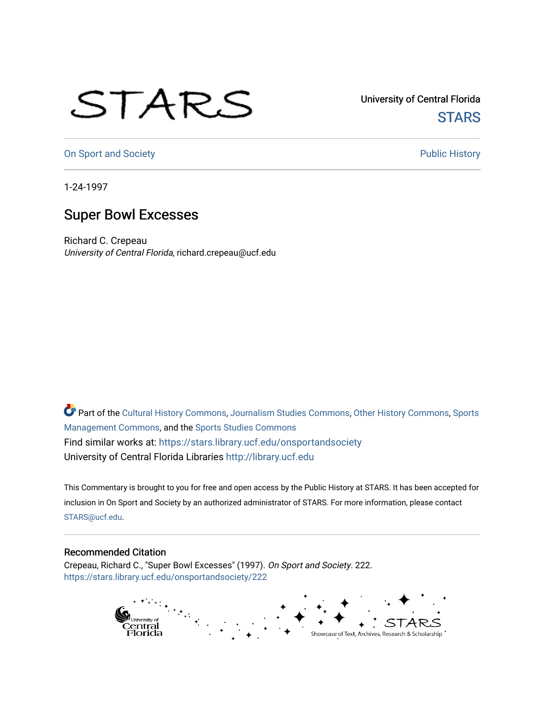## STARS

University of Central Florida **STARS** 

[On Sport and Society](https://stars.library.ucf.edu/onsportandsociety) **Public History** Public History

1-24-1997

## Super Bowl Excesses

Richard C. Crepeau University of Central Florida, richard.crepeau@ucf.edu

Part of the [Cultural History Commons](http://network.bepress.com/hgg/discipline/496?utm_source=stars.library.ucf.edu%2Fonsportandsociety%2F222&utm_medium=PDF&utm_campaign=PDFCoverPages), [Journalism Studies Commons,](http://network.bepress.com/hgg/discipline/333?utm_source=stars.library.ucf.edu%2Fonsportandsociety%2F222&utm_medium=PDF&utm_campaign=PDFCoverPages) [Other History Commons,](http://network.bepress.com/hgg/discipline/508?utm_source=stars.library.ucf.edu%2Fonsportandsociety%2F222&utm_medium=PDF&utm_campaign=PDFCoverPages) [Sports](http://network.bepress.com/hgg/discipline/1193?utm_source=stars.library.ucf.edu%2Fonsportandsociety%2F222&utm_medium=PDF&utm_campaign=PDFCoverPages) [Management Commons](http://network.bepress.com/hgg/discipline/1193?utm_source=stars.library.ucf.edu%2Fonsportandsociety%2F222&utm_medium=PDF&utm_campaign=PDFCoverPages), and the [Sports Studies Commons](http://network.bepress.com/hgg/discipline/1198?utm_source=stars.library.ucf.edu%2Fonsportandsociety%2F222&utm_medium=PDF&utm_campaign=PDFCoverPages) Find similar works at: <https://stars.library.ucf.edu/onsportandsociety> University of Central Florida Libraries [http://library.ucf.edu](http://library.ucf.edu/) 

This Commentary is brought to you for free and open access by the Public History at STARS. It has been accepted for inclusion in On Sport and Society by an authorized administrator of STARS. For more information, please contact [STARS@ucf.edu](mailto:STARS@ucf.edu).

## Recommended Citation

Crepeau, Richard C., "Super Bowl Excesses" (1997). On Sport and Society. 222. [https://stars.library.ucf.edu/onsportandsociety/222](https://stars.library.ucf.edu/onsportandsociety/222?utm_source=stars.library.ucf.edu%2Fonsportandsociety%2F222&utm_medium=PDF&utm_campaign=PDFCoverPages)

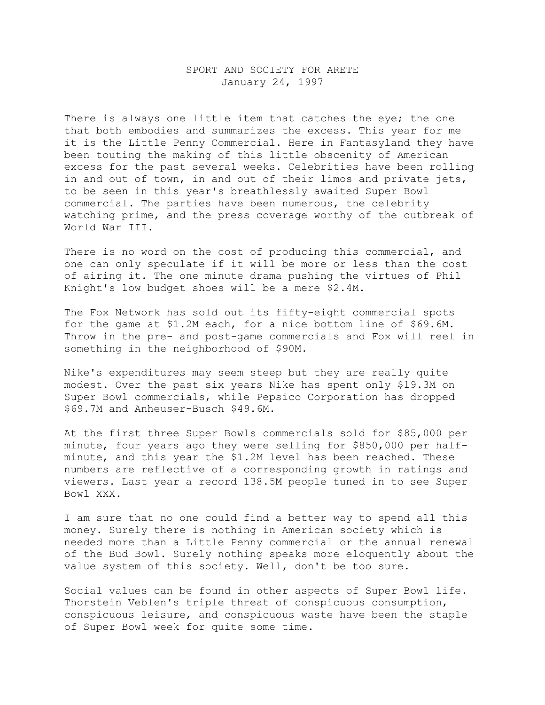## SPORT AND SOCIETY FOR ARETE January 24, 1997

There is always one little item that catches the eye; the one that both embodies and summarizes the excess. This year for me it is the Little Penny Commercial. Here in Fantasyland they have been touting the making of this little obscenity of American excess for the past several weeks. Celebrities have been rolling in and out of town, in and out of their limos and private jets, to be seen in this year's breathlessly awaited Super Bowl commercial. The parties have been numerous, the celebrity watching prime, and the press coverage worthy of the outbreak of World War III.

There is no word on the cost of producing this commercial, and one can only speculate if it will be more or less than the cost of airing it. The one minute drama pushing the virtues of Phil Knight's low budget shoes will be a mere \$2.4M.

The Fox Network has sold out its fifty-eight commercial spots for the game at \$1.2M each, for a nice bottom line of \$69.6M. Throw in the pre- and post-game commercials and Fox will reel in something in the neighborhood of \$90M.

Nike's expenditures may seem steep but they are really quite modest. Over the past six years Nike has spent only \$19.3M on Super Bowl commercials, while Pepsico Corporation has dropped \$69.7M and Anheuser-Busch \$49.6M.

At the first three Super Bowls commercials sold for \$85,000 per minute, four years ago they were selling for \$850,000 per halfminute, and this year the \$1.2M level has been reached. These numbers are reflective of a corresponding growth in ratings and viewers. Last year a record 138.5M people tuned in to see Super Bowl XXX.

I am sure that no one could find a better way to spend all this money. Surely there is nothing in American society which is needed more than a Little Penny commercial or the annual renewal of the Bud Bowl. Surely nothing speaks more eloquently about the value system of this society. Well, don't be too sure.

Social values can be found in other aspects of Super Bowl life. Thorstein Veblen's triple threat of conspicuous consumption, conspicuous leisure, and conspicuous waste have been the staple of Super Bowl week for quite some time.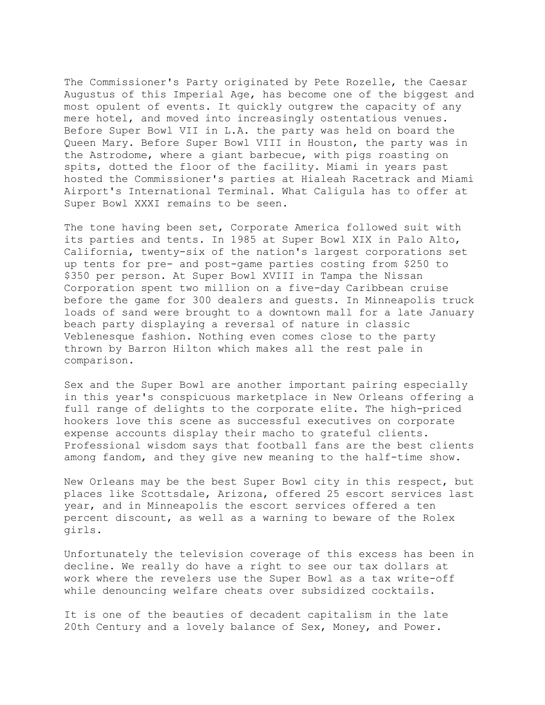The Commissioner's Party originated by Pete Rozelle, the Caesar Augustus of this Imperial Age, has become one of the biggest and most opulent of events. It quickly outgrew the capacity of any mere hotel, and moved into increasingly ostentatious venues. Before Super Bowl VII in L.A. the party was held on board the Queen Mary. Before Super Bowl VIII in Houston, the party was in the Astrodome, where a giant barbecue, with pigs roasting on spits, dotted the floor of the facility. Miami in years past hosted the Commissioner's parties at Hialeah Racetrack and Miami Airport's International Terminal. What Caligula has to offer at Super Bowl XXXI remains to be seen.

The tone having been set, Corporate America followed suit with its parties and tents. In 1985 at Super Bowl XIX in Palo Alto, California, twenty-six of the nation's largest corporations set up tents for pre- and post-game parties costing from \$250 to \$350 per person. At Super Bowl XVIII in Tampa the Nissan Corporation spent two million on a five-day Caribbean cruise before the game for 300 dealers and guests. In Minneapolis truck loads of sand were brought to a downtown mall for a late January beach party displaying a reversal of nature in classic Veblenesque fashion. Nothing even comes close to the party thrown by Barron Hilton which makes all the rest pale in comparison.

Sex and the Super Bowl are another important pairing especially in this year's conspicuous marketplace in New Orleans offering a full range of delights to the corporate elite. The high-priced hookers love this scene as successful executives on corporate expense accounts display their macho to grateful clients. Professional wisdom says that football fans are the best clients among fandom, and they give new meaning to the half-time show.

New Orleans may be the best Super Bowl city in this respect, but places like Scottsdale, Arizona, offered 25 escort services last year, and in Minneapolis the escort services offered a ten percent discount, as well as a warning to beware of the Rolex girls.

Unfortunately the television coverage of this excess has been in decline. We really do have a right to see our tax dollars at work where the revelers use the Super Bowl as a tax write-off while denouncing welfare cheats over subsidized cocktails.

It is one of the beauties of decadent capitalism in the late 20th Century and a lovely balance of Sex, Money, and Power.